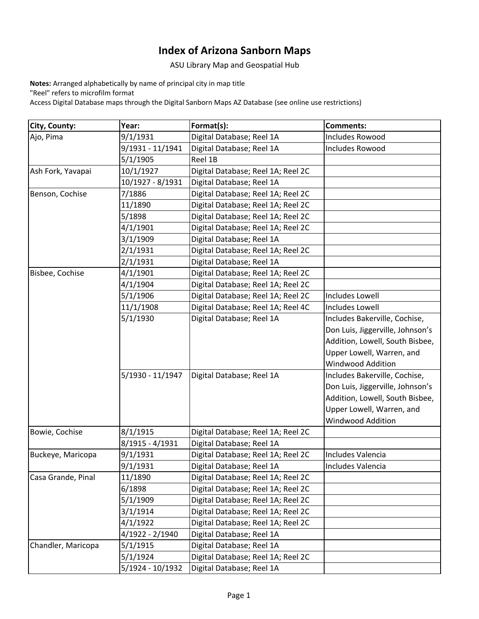## **Index of Arizona Sanborn Maps**

ASU Library Map and Geospatial Hub

**Notes:** Arranged alphabetically by name of principal city in map title "Reel" refers to microfilm format

Access Digital Database maps through the Digital Sanborn Maps AZ Database (see online use restrictions)

| City, County:      | Year:            | Format(s):                         | <b>Comments:</b>                 |
|--------------------|------------------|------------------------------------|----------------------------------|
| Ajo, Pima          | 9/1/1931         | Digital Database; Reel 1A          | <b>Includes Rowood</b>           |
|                    | 9/1931 - 11/1941 | Digital Database; Reel 1A          | Includes Rowood                  |
|                    | 5/1/1905         | Reel 1B                            |                                  |
| Ash Fork, Yavapai  | 10/1/1927        | Digital Database; Reel 1A; Reel 2C |                                  |
|                    | 10/1927 - 8/1931 | Digital Database; Reel 1A          |                                  |
| Benson, Cochise    | 7/1886           | Digital Database; Reel 1A; Reel 2C |                                  |
|                    | 11/1890          | Digital Database; Reel 1A; Reel 2C |                                  |
|                    | 5/1898           | Digital Database; Reel 1A; Reel 2C |                                  |
|                    | 4/1/1901         | Digital Database; Reel 1A; Reel 2C |                                  |
|                    | 3/1/1909         | Digital Database; Reel 1A          |                                  |
|                    | 2/1/1931         | Digital Database; Reel 1A; Reel 2C |                                  |
|                    | 2/1/1931         | Digital Database; Reel 1A          |                                  |
| Bisbee, Cochise    | 4/1/1901         | Digital Database; Reel 1A; Reel 2C |                                  |
|                    | 4/1/1904         | Digital Database; Reel 1A; Reel 2C |                                  |
|                    | 5/1/1906         | Digital Database; Reel 1A; Reel 2C | Includes Lowell                  |
|                    | 11/1/1908        | Digital Database; Reel 1A; Reel 4C | Includes Lowell                  |
|                    | 5/1/1930         | Digital Database; Reel 1A          | Includes Bakerville, Cochise,    |
|                    |                  |                                    | Don Luis, Jiggerville, Johnson's |
|                    |                  |                                    | Addition, Lowell, South Bisbee,  |
|                    |                  |                                    | Upper Lowell, Warren, and        |
|                    |                  |                                    | <b>Windwood Addition</b>         |
|                    | 5/1930 - 11/1947 | Digital Database; Reel 1A          | Includes Bakerville, Cochise,    |
|                    |                  |                                    | Don Luis, Jiggerville, Johnson's |
|                    |                  |                                    | Addition, Lowell, South Bisbee,  |
|                    |                  |                                    | Upper Lowell, Warren, and        |
|                    |                  |                                    | Windwood Addition                |
| Bowie, Cochise     | 8/1/1915         | Digital Database; Reel 1A; Reel 2C |                                  |
|                    | 8/1915 - 4/1931  | Digital Database; Reel 1A          |                                  |
| Buckeye, Maricopa  | 9/1/1931         | Digital Database; Reel 1A; Reel 2C | Includes Valencia                |
|                    | 9/1/1931         | Digital Database; Reel 1A          | Includes Valencia                |
| Casa Grande, Pinal | 11/1890          | Digital Database; Reel 1A; Reel 2C |                                  |
|                    | 6/1898           | Digital Database; Reel 1A; Reel 2C |                                  |
|                    | 5/1/1909         | Digital Database; Reel 1A; Reel 2C |                                  |
|                    | 3/1/1914         | Digital Database; Reel 1A; Reel 2C |                                  |
|                    | 4/1/1922         | Digital Database; Reel 1A; Reel 2C |                                  |
|                    | 4/1922 - 2/1940  | Digital Database; Reel 1A          |                                  |
| Chandler, Maricopa | 5/1/1915         | Digital Database; Reel 1A          |                                  |
|                    | 5/1/1924         | Digital Database; Reel 1A; Reel 2C |                                  |
|                    | 5/1924 - 10/1932 | Digital Database; Reel 1A          |                                  |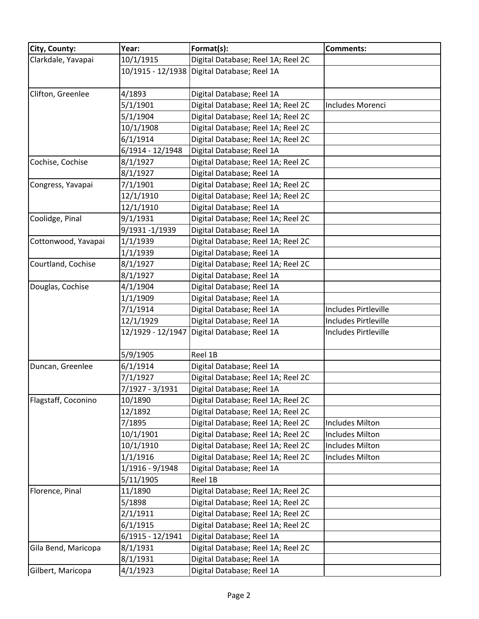| City, County:       | Year:             | Format(s):                                  | <b>Comments:</b>            |
|---------------------|-------------------|---------------------------------------------|-----------------------------|
| Clarkdale, Yavapai  | 10/1/1915         | Digital Database; Reel 1A; Reel 2C          |                             |
|                     |                   | 10/1915 - 12/1938 Digital Database; Reel 1A |                             |
|                     |                   |                                             |                             |
| Clifton, Greenlee   | 4/1893            | Digital Database; Reel 1A                   |                             |
|                     | 5/1/1901          | Digital Database; Reel 1A; Reel 2C          | Includes Morenci            |
|                     | 5/1/1904          | Digital Database; Reel 1A; Reel 2C          |                             |
|                     | 10/1/1908         | Digital Database; Reel 1A; Reel 2C          |                             |
|                     | 6/1/1914          | Digital Database; Reel 1A; Reel 2C          |                             |
|                     | 6/1914 - 12/1948  | Digital Database; Reel 1A                   |                             |
| Cochise, Cochise    | 8/1/1927          | Digital Database; Reel 1A; Reel 2C          |                             |
|                     | 8/1/1927          | Digital Database; Reel 1A                   |                             |
| Congress, Yavapai   | 7/1/1901          | Digital Database; Reel 1A; Reel 2C          |                             |
|                     | 12/1/1910         | Digital Database; Reel 1A; Reel 2C          |                             |
|                     | 12/1/1910         | Digital Database; Reel 1A                   |                             |
| Coolidge, Pinal     | 9/1/1931          | Digital Database; Reel 1A; Reel 2C          |                             |
|                     | 9/1931 -1/1939    | Digital Database; Reel 1A                   |                             |
| Cottonwood, Yavapai | 1/1/1939          | Digital Database; Reel 1A; Reel 2C          |                             |
|                     | 1/1/1939          | Digital Database; Reel 1A                   |                             |
| Courtland, Cochise  | 8/1/1927          | Digital Database; Reel 1A; Reel 2C          |                             |
|                     | 8/1/1927          | Digital Database; Reel 1A                   |                             |
| Douglas, Cochise    | 4/1/1904          | Digital Database; Reel 1A                   |                             |
|                     | 1/1/1909          | Digital Database; Reel 1A                   |                             |
|                     | 7/1/1914          | Digital Database; Reel 1A                   | <b>Includes Pirtleville</b> |
|                     | 12/1/1929         | Digital Database; Reel 1A                   | Includes Pirtleville        |
|                     | 12/1929 - 12/1947 | Digital Database; Reel 1A                   | Includes Pirtleville        |
|                     |                   |                                             |                             |
|                     | 5/9/1905          | Reel 1B                                     |                             |
| Duncan, Greenlee    | 6/1/1914          | Digital Database; Reel 1A                   |                             |
|                     | 7/1/1927          | Digital Database; Reel 1A; Reel 2C          |                             |
|                     | 7/1927 - 3/1931   | Digital Database; Reel 1A                   |                             |
| Flagstaff, Coconino | 10/1890           | Digital Database; Reel 1A; Reel 2C          |                             |
|                     | 12/1892           | Digital Database; Reel 1A; Reel 2C          |                             |
|                     | 7/1895            | Digital Database; Reel 1A; Reel 2C          | <b>Includes Milton</b>      |
|                     | 10/1/1901         | Digital Database; Reel 1A; Reel 2C          | <b>Includes Milton</b>      |
|                     | 10/1/1910         | Digital Database; Reel 1A; Reel 2C          | <b>Includes Milton</b>      |
|                     | 1/1/1916          | Digital Database; Reel 1A; Reel 2C          | <b>Includes Milton</b>      |
|                     | 1/1916 - 9/1948   | Digital Database; Reel 1A                   |                             |
|                     | 5/11/1905         | Reel 1B                                     |                             |
| Florence, Pinal     | 11/1890           | Digital Database; Reel 1A; Reel 2C          |                             |
|                     | 5/1898            | Digital Database; Reel 1A; Reel 2C          |                             |
|                     | 2/1/1911          | Digital Database; Reel 1A; Reel 2C          |                             |
|                     | 6/1/1915          | Digital Database; Reel 1A; Reel 2C          |                             |
|                     | 6/1915 - 12/1941  | Digital Database; Reel 1A                   |                             |
| Gila Bend, Maricopa | 8/1/1931          | Digital Database; Reel 1A; Reel 2C          |                             |
|                     | 8/1/1931          | Digital Database; Reel 1A                   |                             |
| Gilbert, Maricopa   | 4/1/1923          | Digital Database; Reel 1A                   |                             |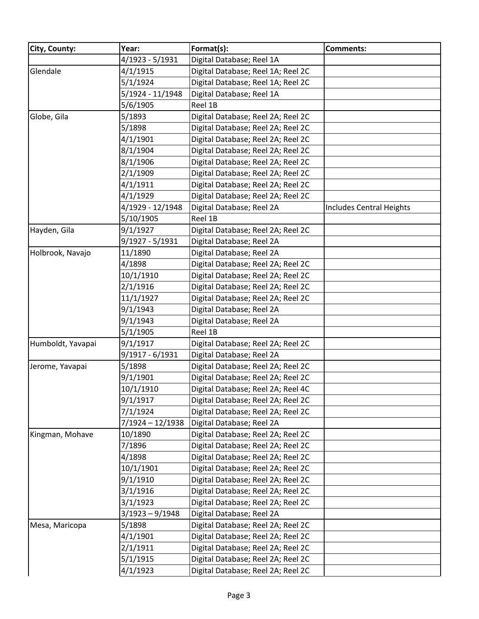| City, County:     | Year:             | Format(s):                         | <b>Comments:</b>                |
|-------------------|-------------------|------------------------------------|---------------------------------|
|                   | 4/1923 - 5/1931   | Digital Database; Reel 1A          |                                 |
| Glendale          | 4/1/1915          | Digital Database; Reel 1A; Reel 2C |                                 |
|                   | 5/1/1924          | Digital Database; Reel 1A; Reel 2C |                                 |
|                   | 5/1924 - 11/1948  | Digital Database; Reel 1A          |                                 |
|                   | 5/6/1905          | Reel 1B                            |                                 |
| Globe, Gila       | 5/1893            | Digital Database; Reel 2A; Reel 2C |                                 |
|                   | 5/1898            | Digital Database; Reel 2A; Reel 2C |                                 |
|                   | 4/1/1901          | Digital Database; Reel 2A; Reel 2C |                                 |
|                   | 8/1/1904          | Digital Database; Reel 2A; Reel 2C |                                 |
|                   | 8/1/1906          | Digital Database; Reel 2A; Reel 2C |                                 |
|                   | 2/1/1909          | Digital Database; Reel 2A; Reel 2C |                                 |
|                   | 4/1/1911          | Digital Database; Reel 2A; Reel 2C |                                 |
|                   | 4/1/1929          | Digital Database; Reel 2A; Reel 2C |                                 |
|                   | 4/1929 - 12/1948  | Digital Database; Reel 2A          | <b>Includes Central Heights</b> |
|                   | 5/10/1905         | Reel 1B                            |                                 |
| Hayden, Gila      | 9/1/1927          | Digital Database; Reel 2A; Reel 2C |                                 |
|                   | 9/1927 - 5/1931   | Digital Database; Reel 2A          |                                 |
| Holbrook, Navajo  | 11/1890           | Digital Database; Reel 2A          |                                 |
|                   | 4/1898            | Digital Database; Reel 2A; Reel 2C |                                 |
|                   | 10/1/1910         | Digital Database; Reel 2A; Reel 2C |                                 |
|                   | 2/1/1916          | Digital Database; Reel 2A; Reel 2C |                                 |
|                   | 11/1/1927         | Digital Database; Reel 2A; Reel 2C |                                 |
|                   | 9/1/1943          | Digital Database; Reel 2A          |                                 |
|                   | 9/1/1943          | Digital Database; Reel 2A          |                                 |
|                   | 5/1/1905          | Reel 1B                            |                                 |
| Humboldt, Yavapai | 9/1/1917          | Digital Database; Reel 2A; Reel 2C |                                 |
|                   | 9/1917 - 6/1931   | Digital Database; Reel 2A          |                                 |
| Jerome, Yavapai   | 5/1898            | Digital Database; Reel 2A; Reel 2C |                                 |
|                   | 9/1/1901          | Digital Database; Reel 2A; Reel 2C |                                 |
|                   | 10/1/1910         | Digital Database; Reel 2A; Reel 4C |                                 |
|                   | 9/1/1917          | Digital Database; Reel 2A; Reel 2C |                                 |
|                   | 7/1/1924          | Digital Database; Reel 2A; Reel 2C |                                 |
|                   | 7/1924 - 12/1938  | Digital Database; Reel 2A          |                                 |
| Kingman, Mohave   | 10/1890           | Digital Database; Reel 2A; Reel 2C |                                 |
|                   | 7/1896            | Digital Database; Reel 2A; Reel 2C |                                 |
|                   | 4/1898            | Digital Database; Reel 2A; Reel 2C |                                 |
|                   | 10/1/1901         | Digital Database; Reel 2A; Reel 2C |                                 |
|                   | 9/1/1910          | Digital Database; Reel 2A; Reel 2C |                                 |
|                   | 3/1/1916          | Digital Database; Reel 2A; Reel 2C |                                 |
|                   | 3/1/1923          | Digital Database; Reel 2A; Reel 2C |                                 |
|                   | $3/1923 - 9/1948$ | Digital Database; Reel 2A          |                                 |
| Mesa, Maricopa    | 5/1898            | Digital Database; Reel 2A; Reel 2C |                                 |
|                   | 4/1/1901          | Digital Database; Reel 2A; Reel 2C |                                 |
|                   | 2/1/1911          | Digital Database; Reel 2A; Reel 2C |                                 |
|                   | 5/1/1915          | Digital Database; Reel 2A; Reel 2C |                                 |
|                   | 4/1/1923          | Digital Database; Reel 2A; Reel 2C |                                 |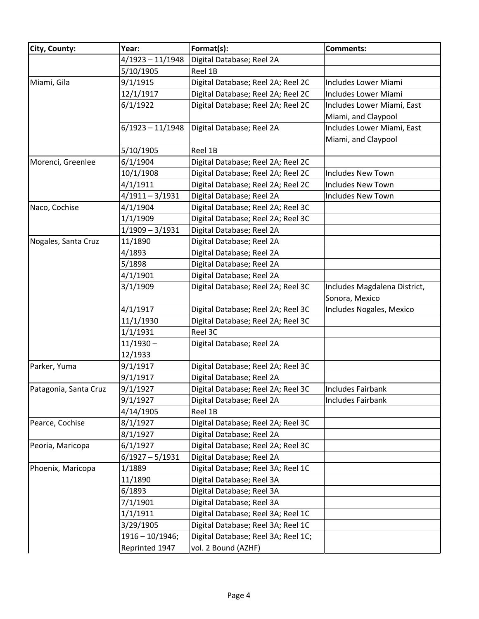| City, County:         | Year:              | Format(s):                          | <b>Comments:</b>                               |
|-----------------------|--------------------|-------------------------------------|------------------------------------------------|
|                       | 4/1923 - 11/1948   | Digital Database; Reel 2A           |                                                |
|                       | 5/10/1905          | Reel 1B                             |                                                |
| Miami, Gila           | 9/1/1915           | Digital Database; Reel 2A; Reel 2C  | Includes Lower Miami                           |
|                       | 12/1/1917          | Digital Database; Reel 2A; Reel 2C  | <b>Includes Lower Miami</b>                    |
|                       | 6/1/1922           | Digital Database; Reel 2A; Reel 2C  | Includes Lower Miami, East                     |
|                       |                    |                                     | Miami, and Claypool                            |
|                       | $6/1923 - 11/1948$ | Digital Database; Reel 2A           | Includes Lower Miami, East                     |
|                       |                    |                                     | Miami, and Claypool                            |
|                       | 5/10/1905          | Reel 1B                             |                                                |
| Morenci, Greenlee     | 6/1/1904           | Digital Database; Reel 2A; Reel 2C  |                                                |
|                       | 10/1/1908          | Digital Database; Reel 2A; Reel 2C  | Includes New Town                              |
|                       | 4/1/1911           | Digital Database; Reel 2A; Reel 2C  | <b>Includes New Town</b>                       |
|                       | 4/1911-3/1931      | Digital Database; Reel 2A           | <b>Includes New Town</b>                       |
| Naco, Cochise         | 4/1/1904           | Digital Database; Reel 2A; Reel 3C  |                                                |
|                       | 1/1/1909           | Digital Database; Reel 2A; Reel 3C  |                                                |
|                       | $1/1909 - 3/1931$  | Digital Database; Reel 2A           |                                                |
| Nogales, Santa Cruz   | 11/1890            | Digital Database; Reel 2A           |                                                |
|                       | 4/1893             | Digital Database; Reel 2A           |                                                |
|                       | 5/1898             | Digital Database; Reel 2A           |                                                |
|                       | 4/1/1901           | Digital Database; Reel 2A           |                                                |
|                       | 3/1/1909           | Digital Database; Reel 2A; Reel 3C  | Includes Magdalena District,<br>Sonora, Mexico |
|                       | 4/1/1917           | Digital Database; Reel 2A; Reel 3C  | Includes Nogales, Mexico                       |
|                       | 11/1/1930          | Digital Database; Reel 2A; Reel 3C  |                                                |
|                       | 1/1/1931           | Reel 3C                             |                                                |
|                       | $11/1930 -$        | Digital Database; Reel 2A           |                                                |
|                       | 12/1933            |                                     |                                                |
| Parker, Yuma          | 9/1/1917           | Digital Database; Reel 2A; Reel 3C  |                                                |
|                       | 9/1/1917           | Digital Database; Reel 2A           |                                                |
| Patagonia, Santa Cruz | 9/1/1927           | Digital Database; Reel 2A; Reel 3C  | Includes Fairbank                              |
|                       | 9/1/1927           | Digital Database; Reel 2A           | Includes Fairbank                              |
|                       | 4/14/1905          | Reel 1B                             |                                                |
| Pearce, Cochise       | 8/1/1927           | Digital Database; Reel 2A; Reel 3C  |                                                |
|                       | 8/1/1927           | Digital Database; Reel 2A           |                                                |
| Peoria, Maricopa      | 6/1/1927           | Digital Database; Reel 2A; Reel 3C  |                                                |
|                       | $6/1927 - 5/1931$  | Digital Database; Reel 2A           |                                                |
| Phoenix, Maricopa     | 1/1889             | Digital Database; Reel 3A; Reel 1C  |                                                |
|                       | 11/1890            | Digital Database; Reel 3A           |                                                |
|                       | 6/1893             | Digital Database; Reel 3A           |                                                |
|                       | 7/1/1901           | Digital Database; Reel 3A           |                                                |
|                       | 1/1/1911           | Digital Database; Reel 3A; Reel 1C  |                                                |
|                       | 3/29/1905          | Digital Database; Reel 3A; Reel 1C  |                                                |
|                       | $1916 - 10/1946;$  | Digital Database; Reel 3A; Reel 1C; |                                                |
|                       | Reprinted 1947     | vol. 2 Bound (AZHF)                 |                                                |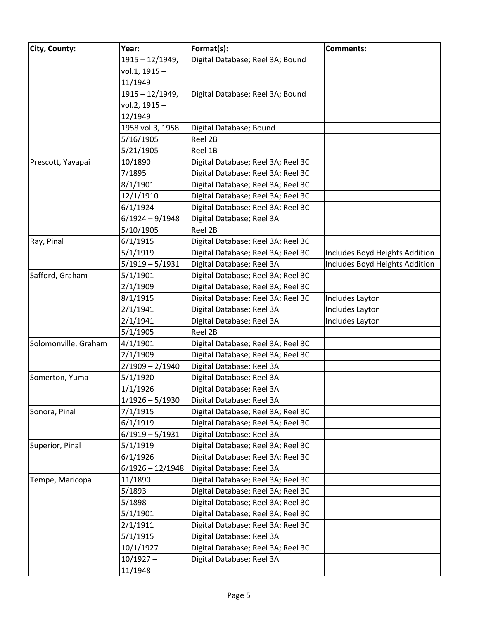| City, County:        | Year:             | Format(s):                         | <b>Comments:</b>               |
|----------------------|-------------------|------------------------------------|--------------------------------|
|                      | $1915 - 12/1949,$ | Digital Database; Reel 3A; Bound   |                                |
|                      | vol.1, 1915-      |                                    |                                |
|                      | 11/1949           |                                    |                                |
|                      | $1915 - 12/1949,$ | Digital Database; Reel 3A; Bound   |                                |
|                      | vol.2, 1915-      |                                    |                                |
|                      | 12/1949           |                                    |                                |
|                      | 1958 vol.3, 1958  | Digital Database; Bound            |                                |
|                      | 5/16/1905         | Reel 2B                            |                                |
|                      | 5/21/1905         | Reel 1B                            |                                |
| Prescott, Yavapai    | 10/1890           | Digital Database; Reel 3A; Reel 3C |                                |
|                      | 7/1895            | Digital Database; Reel 3A; Reel 3C |                                |
|                      | 8/1/1901          | Digital Database; Reel 3A; Reel 3C |                                |
|                      | 12/1/1910         | Digital Database; Reel 3A; Reel 3C |                                |
|                      | 6/1/1924          | Digital Database; Reel 3A; Reel 3C |                                |
|                      | $6/1924 - 9/1948$ | Digital Database; Reel 3A          |                                |
|                      | 5/10/1905         | Reel 2B                            |                                |
| Ray, Pinal           | 6/1/1915          | Digital Database; Reel 3A; Reel 3C |                                |
|                      | 5/1/1919          | Digital Database; Reel 3A; Reel 3C | Includes Boyd Heights Addition |
|                      | $5/1919 - 5/1931$ | Digital Database; Reel 3A          | Includes Boyd Heights Addition |
| Safford, Graham      | 5/1/1901          | Digital Database; Reel 3A; Reel 3C |                                |
|                      | 2/1/1909          | Digital Database; Reel 3A; Reel 3C |                                |
|                      | 8/1/1915          | Digital Database; Reel 3A; Reel 3C | Includes Layton                |
|                      | 2/1/1941          | Digital Database; Reel 3A          | Includes Layton                |
|                      | 2/1/1941          | Digital Database; Reel 3A          | Includes Layton                |
|                      | 5/1/1905          | Reel 2B                            |                                |
| Solomonville, Graham | 4/1/1901          | Digital Database; Reel 3A; Reel 3C |                                |
|                      | 2/1/1909          | Digital Database; Reel 3A; Reel 3C |                                |
|                      | $2/1909 - 2/1940$ | Digital Database; Reel 3A          |                                |
| Somerton, Yuma       | 5/1/1920          | Digital Database; Reel 3A          |                                |
|                      | 1/1/1926          | Digital Database; Reel 3A          |                                |
|                      | $1/1926 - 5/1930$ | Digital Database; Reel 3A          |                                |
| Sonora, Pinal        | 7/1/1915          | Digital Database; Reel 3A; Reel 3C |                                |
|                      | 6/1/1919          | Digital Database; Reel 3A; Reel 3C |                                |
|                      | $6/1919 - 5/1931$ | Digital Database; Reel 3A          |                                |
| Superior, Pinal      | 5/1/1919          | Digital Database; Reel 3A; Reel 3C |                                |
|                      | 6/1/1926          | Digital Database; Reel 3A; Reel 3C |                                |
|                      | 6/1926 - 12/1948  | Digital Database; Reel 3A          |                                |
| Tempe, Maricopa      | 11/1890           | Digital Database; Reel 3A; Reel 3C |                                |
|                      | 5/1893            | Digital Database; Reel 3A; Reel 3C |                                |
|                      | 5/1898            | Digital Database; Reel 3A; Reel 3C |                                |
|                      | 5/1/1901          | Digital Database; Reel 3A; Reel 3C |                                |
|                      | 2/1/1911          | Digital Database; Reel 3A; Reel 3C |                                |
|                      | 5/1/1915          | Digital Database; Reel 3A          |                                |
|                      | 10/1/1927         | Digital Database; Reel 3A; Reel 3C |                                |
|                      | $10/1927 -$       | Digital Database; Reel 3A          |                                |
|                      | 11/1948           |                                    |                                |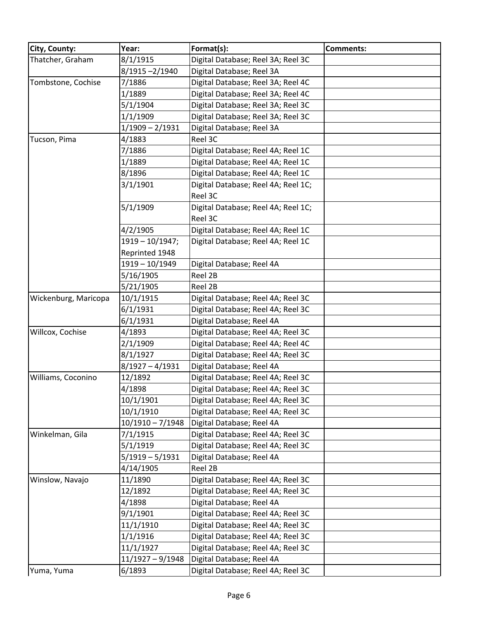| City, County:        | Year:              | Format(s):                          | <b>Comments:</b> |
|----------------------|--------------------|-------------------------------------|------------------|
| Thatcher, Graham     | 8/1/1915           | Digital Database; Reel 3A; Reel 3C  |                  |
|                      | 8/1915-2/1940      | Digital Database; Reel 3A           |                  |
| Tombstone, Cochise   | 7/1886             | Digital Database; Reel 3A; Reel 4C  |                  |
|                      | 1/1889             | Digital Database; Reel 3A; Reel 4C  |                  |
|                      | 5/1/1904           | Digital Database; Reel 3A; Reel 3C  |                  |
|                      | 1/1/1909           | Digital Database; Reel 3A; Reel 3C  |                  |
|                      | $1/1909 - 2/1931$  | Digital Database; Reel 3A           |                  |
| Tucson, Pima         | 4/1883             | Reel 3C                             |                  |
|                      | 7/1886             | Digital Database; Reel 4A; Reel 1C  |                  |
|                      | 1/1889             | Digital Database; Reel 4A; Reel 1C  |                  |
|                      | 8/1896             | Digital Database; Reel 4A; Reel 1C  |                  |
|                      | 3/1/1901           | Digital Database; Reel 4A; Reel 1C; |                  |
|                      |                    | Reel 3C                             |                  |
|                      | 5/1/1909           | Digital Database; Reel 4A; Reel 1C; |                  |
|                      |                    | Reel 3C                             |                  |
|                      | 4/2/1905           | Digital Database; Reel 4A; Reel 1C  |                  |
|                      | $1919 - 10/1947;$  | Digital Database; Reel 4A; Reel 1C  |                  |
|                      | Reprinted 1948     |                                     |                  |
|                      | 1919 - 10/1949     | Digital Database; Reel 4A           |                  |
|                      | 5/16/1905          | Reel 2B                             |                  |
|                      | 5/21/1905          | Reel 2B                             |                  |
| Wickenburg, Maricopa | 10/1/1915          | Digital Database; Reel 4A; Reel 3C  |                  |
|                      | 6/1/1931           | Digital Database; Reel 4A; Reel 3C  |                  |
|                      | 6/1/1931           | Digital Database; Reel 4A           |                  |
| Willcox, Cochise     | 4/1893             | Digital Database; Reel 4A; Reel 3C  |                  |
|                      | 2/1/1909           | Digital Database; Reel 4A; Reel 4C  |                  |
|                      | 8/1/1927           | Digital Database; Reel 4A; Reel 3C  |                  |
|                      | $8/1927 - 4/1931$  | Digital Database; Reel 4A           |                  |
| Williams, Coconino   | 12/1892            | Digital Database; Reel 4A; Reel 3C  |                  |
|                      | 4/1898             | Digital Database; Reel 4A; Reel 3C  |                  |
|                      | 10/1/1901          | Digital Database; Reel 4A; Reel 3C  |                  |
|                      | 10/1/1910          | Digital Database; Reel 4A; Reel 3C  |                  |
|                      | $10/1910 - 7/1948$ | Digital Database; Reel 4A           |                  |
| Winkelman, Gila      | 7/1/1915           | Digital Database; Reel 4A; Reel 3C  |                  |
|                      | 5/1/1919           | Digital Database; Reel 4A; Reel 3C  |                  |
|                      | $5/1919 - 5/1931$  | Digital Database; Reel 4A           |                  |
|                      | 4/14/1905          | Reel 2B                             |                  |
| Winslow, Navajo      | 11/1890            | Digital Database; Reel 4A; Reel 3C  |                  |
|                      | 12/1892            | Digital Database; Reel 4A; Reel 3C  |                  |
|                      | 4/1898             | Digital Database; Reel 4A           |                  |
|                      | 9/1/1901           | Digital Database; Reel 4A; Reel 3C  |                  |
|                      | 11/1/1910          | Digital Database; Reel 4A; Reel 3C  |                  |
|                      | 1/1/1916           | Digital Database; Reel 4A; Reel 3C  |                  |
|                      | 11/1/1927          | Digital Database; Reel 4A; Reel 3C  |                  |
|                      | 11/1927 - 9/1948   | Digital Database; Reel 4A           |                  |
| Yuma, Yuma           | 6/1893             | Digital Database; Reel 4A; Reel 3C  |                  |